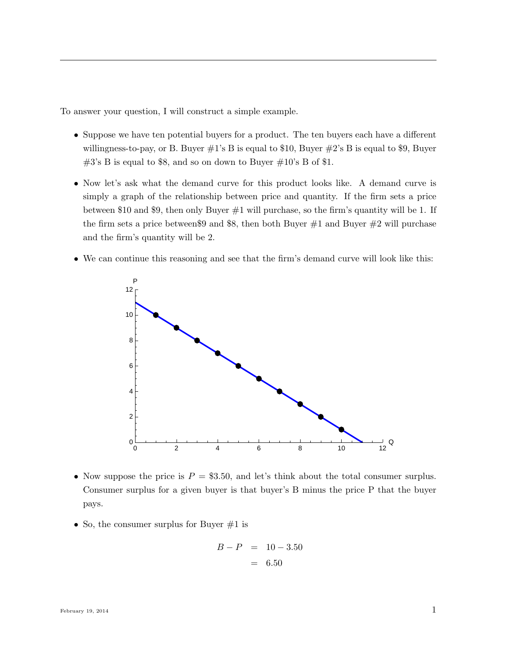To answer your question, I will construct a simple example.

- Suppose we have ten potential buyers for a product. The ten buyers each have a different willingness-to-pay, or B. Buyer  $\#1$ 's B is equal to \$10, Buyer  $\#2$ 's B is equal to \$9, Buyer  $\#3$ 's B is equal to \$8, and so on down to Buyer  $\#10$ 's B of \$1.
- Now let's ask what the demand curve for this product looks like. A demand curve is simply a graph of the relationship between price and quantity. If the firm sets a price between \$10 and \$9, then only Buyer  $\#1$  will purchase, so the firm's quantity will be 1. If the firm sets a price between \$9 and \$8, then both Buyer  $\#1$  and Buyer  $\#2$  will purchase and the firm's quantity will be 2.
- We can continue this reasoning and see that the firm's demand curve will look like this:



- Now suppose the price is  $P = $3.50$ , and let's think about the total consumer surplus. Consumer surplus for a given buyer is that buyer's B minus the price P that the buyer pays.
- So, the consumer surplus for Buyer  $#1$  is

$$
B - P = 10 - 3.50
$$

$$
= 6.50
$$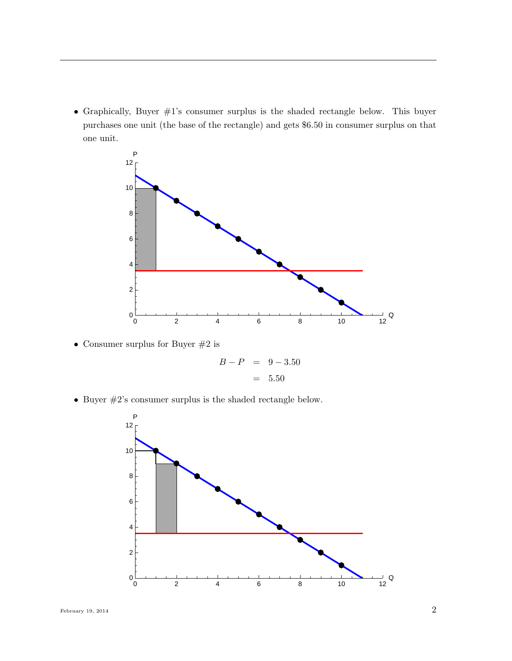• Graphically, Buyer #1's consumer surplus is the shaded rectangle below. This buyer purchases one unit (the base of the rectangle) and gets \$6.50 in consumer surplus on that one unit.



• Consumer surplus for Buyer  $#2$  is

$$
B - P = 9 - 3.50
$$

$$
= 5.50
$$

• Buyer #2's consumer surplus is the shaded rectangle below.